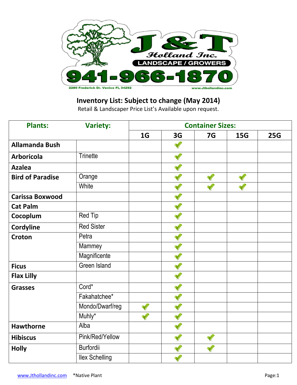

## **Inventory List: Subject to change (May 2014)**

Retail & Landscaper Price List's Available upon request.

| <b>Plants:</b>          | <b>Variety:</b>       | <b>Container Sizes:</b> |    |                |            |     |  |  |
|-------------------------|-----------------------|-------------------------|----|----------------|------------|-----|--|--|
|                         |                       | 1 <sub>G</sub>          | 3G | 7 <sub>G</sub> | <b>15G</b> | 25G |  |  |
| <b>Allamanda Bush</b>   |                       |                         |    |                |            |     |  |  |
| <b>Arboricola</b>       | <b>Trinette</b>       |                         |    |                |            |     |  |  |
| <b>Azalea</b>           |                       |                         |    |                |            |     |  |  |
| <b>Bird of Paradise</b> | Orange                |                         |    |                |            |     |  |  |
|                         | White                 |                         |    |                |            |     |  |  |
| <b>Carissa Boxwood</b>  |                       |                         |    |                |            |     |  |  |
| <b>Cat Palm</b>         |                       |                         |    |                |            |     |  |  |
| Cocoplum                | <b>Red Tip</b>        |                         |    |                |            |     |  |  |
| Cordyline               | <b>Red Sister</b>     |                         |    |                |            |     |  |  |
| Croton                  | Petra                 |                         |    |                |            |     |  |  |
|                         | Mammey                |                         |    |                |            |     |  |  |
|                         | Magnificente          |                         |    |                |            |     |  |  |
| <b>Ficus</b>            | <b>Green Island</b>   |                         |    |                |            |     |  |  |
| <b>Flax Lilly</b>       |                       |                         |    |                |            |     |  |  |
| <b>Grasses</b>          | Cord*                 |                         |    |                |            |     |  |  |
|                         | Fakahatchee*          |                         |    |                |            |     |  |  |
|                         | Mondo/Dwarf/reg       |                         |    |                |            |     |  |  |
|                         | Muhly*                |                         |    |                |            |     |  |  |
| <b>Hawthorne</b>        | Alba                  |                         |    |                |            |     |  |  |
| <b>Hibiscus</b>         | Pink/Red/Yellow       |                         |    |                |            |     |  |  |
| <b>Holly</b>            | <b>Burfordii</b>      |                         |    |                |            |     |  |  |
|                         | <b>Ilex Schelling</b> |                         |    |                |            |     |  |  |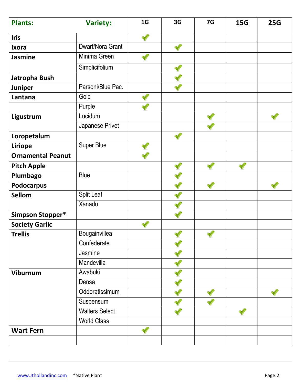| <b>Plants:</b>           | <b>Variety:</b>       | 1 <sub>G</sub> | 3G | 7G | <b>15G</b> | <b>25G</b> |
|--------------------------|-----------------------|----------------|----|----|------------|------------|
| <b>Iris</b>              |                       |                |    |    |            |            |
| <b>Ixora</b>             | Dwarf/Nora Grant      |                |    |    |            |            |
| <b>Jasmine</b>           | Minima Green          |                |    |    |            |            |
|                          | Simplicifolium        |                |    |    |            |            |
| Jatropha Bush            |                       |                |    |    |            |            |
| Juniper                  | Parsoni/Blue Pac.     |                |    |    |            |            |
| Lantana                  | Gold                  |                |    |    |            |            |
|                          | Purple                |                |    |    |            |            |
| Ligustrum                | Lucidum               |                |    |    |            |            |
|                          | Japanese Privet       |                |    |    |            |            |
| Loropetalum              |                       |                |    |    |            |            |
| Liriope                  | <b>Super Blue</b>     |                |    |    |            |            |
| <b>Ornamental Peanut</b> |                       |                |    |    |            |            |
| <b>Pitch Apple</b>       |                       |                |    |    |            |            |
| Plumbago                 | <b>Blue</b>           |                |    |    |            |            |
| <b>Podocarpus</b>        |                       |                |    |    |            |            |
| <b>Sellom</b>            | <b>Split Leaf</b>     |                |    |    |            |            |
|                          | Xanadu                |                |    |    |            |            |
| Simpson Stopper*         |                       |                |    |    |            |            |
| <b>Society Garlic</b>    |                       |                |    |    |            |            |
| <b>Trellis</b>           | Bougainvillea         |                |    |    |            |            |
|                          | Confederate           |                |    |    |            |            |
|                          | Jasmine               |                |    |    |            |            |
|                          | Mandevilla            |                |    |    |            |            |
| Viburnum                 | Awabuki               |                |    |    |            |            |
|                          | Densa                 |                |    |    |            |            |
|                          | Oddoratissimum        |                |    |    |            |            |
|                          | Suspensum             |                |    |    |            |            |
|                          | <b>Walters Select</b> |                |    |    |            |            |
|                          | <b>World Class</b>    |                |    |    |            |            |
| <b>Wart Fern</b>         |                       |                |    |    |            |            |
|                          |                       |                |    |    |            |            |